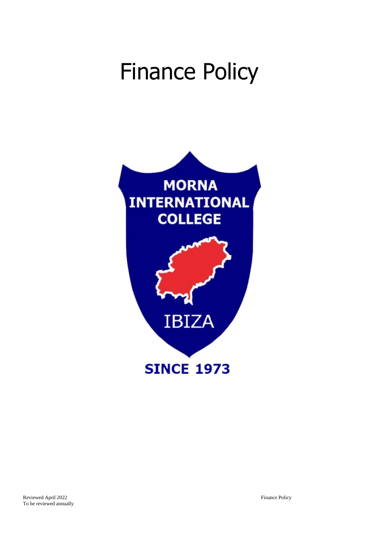# Finance Policy

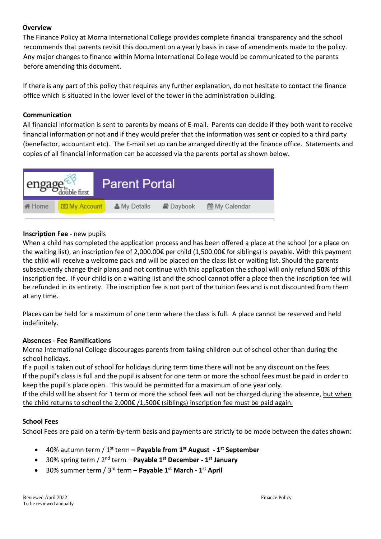## **Overview**

The Finance Policy at Morna International College provides complete financial transparency and the school recommends that parents revisit this document on a yearly basis in case of amendments made to the policy. Any major changes to finance within Morna International College would be communicated to the parents before amending this document.

If there is any part of this policy that requires any further explanation, do not hesitate to contact the finance office which is situated in the lower level of the tower in the administration building.

## **Communication**

All financial information is sent to parents by means of E-mail. Parents can decide if they both want to receive financial information or not and if they would prefer that the information was sent or copied to a third party (benefactor, accountant etc). The E-mail set up can be arranged directly at the finance office. Statements and copies of all financial information can be accessed via the parents portal as shown below.



## **Inscription Fee** - new pupils

When a child has completed the application process and has been offered a place at the school (or a place on the waiting list), an inscription fee of 2,000.00€ per child (1,500.00€ for siblings) is payable. With this payment the child will receive a welcome pack and will be placed on the class list or waiting list. Should the parents subsequently change their plans and not continue with this application the school will only refund **50%** of this inscription fee. If your child is on a waiting list and the school cannot offer a place then the inscription fee will be refunded in its entirety. The inscription fee is not part of the tuition fees and is not discounted from them at any time.

Places can be held for a maximum of one term where the class is full. A place cannot be reserved and held indefinitely.

#### **Absences - Fee Ramifications**

Morna International College discourages parents from taking children out of school other than during the school holidays.

If a pupil is taken out of school for holidays during term time there will not be any discount on the fees. If the pupil's class is full and the pupil is absent for one term or more the school fees must be paid in order to keep the pupil´s place open. This would be permitted for a maximum of one year only.

If the child will be absent for 1 term or more the school fees will not be charged during the absence, but when the child returns to school the 2,000€ /1,500€ (siblings) inscription fee must be paid again.

#### **School Fees**

School Fees are paid on a term-by-term basis and payments are strictly to be made between the dates shown:

- 40% autumn term / 1st term **– Payable from 1st August - 1 st September**
- 30% spring term / 2nd term **Payable 1 st December - 1 st January**
- 30% summer term / 3<sup>rd</sup> term Payable 1<sup>st</sup> March 1<sup>st</sup> April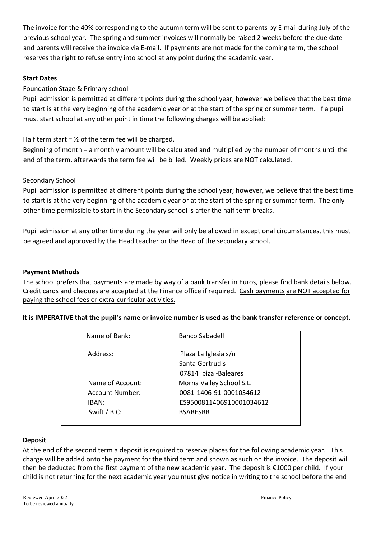The invoice for the 40% corresponding to the autumn term will be sent to parents by E-mail during July of the previous school year. The spring and summer invoices will normally be raised 2 weeks before the due date and parents will receive the invoice via E-mail. If payments are not made for the coming term, the school reserves the right to refuse entry into school at any point during the academic year.

## **Start Dates**

## Foundation Stage & Primary school

Pupil admission is permitted at different points during the school year, however we believe that the best time to start is at the very beginning of the academic year or at the start of the spring or summer term. If a pupil must start school at any other point in time the following charges will be applied:

## Half term start =  $\frac{1}{2}$  of the term fee will be charged.

Beginning of month = a monthly amount will be calculated and multiplied by the number of months until the end of the term, afterwards the term fee will be billed. Weekly prices are NOT calculated.

## Secondary School

Pupil admission is permitted at different points during the school year; however, we believe that the best time to start is at the very beginning of the academic year or at the start of the spring or summer term. The only other time permissible to start in the Secondary school is after the half term breaks.

Pupil admission at any other time during the year will only be allowed in exceptional circumstances, this must be agreed and approved by the Head teacher or the Head of the secondary school.

## **Payment Methods**

The school prefers that payments are made by way of a bank transfer in Euros, please find bank details below. Credit cards and cheques are accepted at the Finance office if required. Cash payments are NOT accepted for paying the school fees or extra-curricular activities.

## **It is IMPERATIVE that the pupil's name or invoice number is used as the bank transfer reference or concept.**

| Name of Bank:    | <b>Banco Sabadell</b>    |
|------------------|--------------------------|
| Address:         | Plaza La Iglesia s/n     |
|                  | Santa Gertrudis          |
|                  | 07814 Ibiza - Baleares   |
| Name of Account: | Morna Valley School S.L. |
| Account Number:  | 0081-1406-91-0001034612  |
| IBAN:            | ES9500811406910001034612 |
| Swift / BIC:     | <b>BSABESBB</b>          |
|                  |                          |

#### **Deposit**

At the end of the second term a deposit is required to reserve places for the following academic year. This charge will be added onto the payment for the third term and shown as such on the invoice. The deposit will then be deducted from the first payment of the new academic year. The deposit is €1000 per child. If your child is not returning for the next academic year you must give notice in writing to the school before the end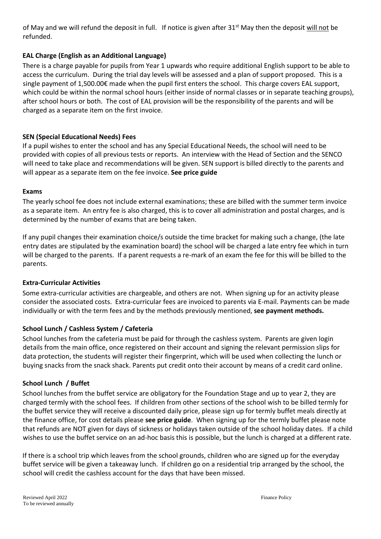of May and we will refund the deposit in full. If notice is given after 31<sup>st</sup> May then the deposit will not be refunded.

## **EAL Charge (English as an Additional Language)**

There is a charge payable for pupils from Year 1 upwards who require additional English support to be able to access the curriculum. During the trial day levels will be assessed and a plan of support proposed. This is a single payment of 1,500.00€ made when the pupil first enters the school. This charge covers EAL support, which could be within the normal school hours (either inside of normal classes or in separate teaching groups), after school hours or both. The cost of EAL provision will be the responsibility of the parents and will be charged as a separate item on the first invoice.

## **SEN (Special Educational Needs) Fees**

If a pupil wishes to enter the school and has any Special Educational Needs, the school will need to be provided with copies of all previous tests or reports. An interview with the Head of Section and the SENCO will need to take place and recommendations will be given. SEN support is billed directly to the parents and will appear as a separate item on the fee invoice. **See price guide**

#### **Exams**

The yearly school fee does not include external examinations; these are billed with the summer term invoice as a separate item. An entry fee is also charged, this is to cover all administration and postal charges, and is determined by the number of exams that are being taken.

If any pupil changes their examination choice/s outside the time bracket for making such a change, (the late entry dates are stipulated by the examination board) the school will be charged a late entry fee which in turn will be charged to the parents. If a parent requests a re-mark of an exam the fee for this will be billed to the parents.

#### **Extra-Curricular Activities**

Some extra-curricular activities are chargeable, and others are not. When signing up for an activity please consider the associated costs. Extra-curricular fees are invoiced to parents via E-mail. Payments can be made individually or with the term fees and by the methods previously mentioned, **see payment methods.**

#### **School Lunch / Cashless System / Cafeteria**

School lunches from the cafeteria must be paid for through the cashless system. Parents are given login details from the main office, once registered on their account and signing the relevant permission slips for data protection, the students will register their fingerprint, which will be used when collecting the lunch or buying snacks from the snack shack. Parents put credit onto their account by means of a credit card online.

#### **School Lunch / Buffet**

School lunches from the buffet service are obligatory for the Foundation Stage and up to year 2, they are charged termly with the school fees. If children from other sections of the school wish to be billed termly for the buffet service they will receive a discounted daily price, please sign up for termly buffet meals directly at the finance office, for cost details please **see price guide**. When signing up for the termly buffet please note that refunds are NOT given for days of sickness or holidays taken outside of the school holiday dates. If a child wishes to use the buffet service on an ad-hoc basis this is possible, but the lunch is charged at a different rate.

If there is a school trip which leaves from the school grounds, children who are signed up for the everyday buffet service will be given a takeaway lunch. If children go on a residential trip arranged by the school, the school will credit the cashless account for the days that have been missed.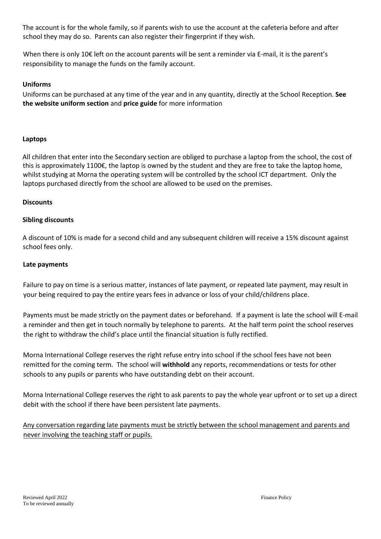The account is for the whole family, so if parents wish to use the account at the cafeteria before and after school they may do so. Parents can also register their fingerprint if they wish.

When there is only 10€ left on the account parents will be sent a reminder via E-mail, it is the parent's responsibility to manage the funds on the family account.

## **Uniforms**

Uniforms can be purchased at any time of the year and in any quantity, directly at the School Reception. **See the website uniform section** and **price guide** for more information

## **Laptops**

All children that enter into the Secondary section are obliged to purchase a laptop from the school, the cost of this is approximately 1100€, the laptop is owned by the student and they are free to take the laptop home, whilst studying at Morna the operating system will be controlled by the school ICT department. Only the laptops purchased directly from the school are allowed to be used on the premises.

#### **Discounts**

## **Sibling discounts**

A discount of 10% is made for a second child and any subsequent children will receive a 15% discount against school fees only.

#### **Late payments**

Failure to pay on time is a serious matter, instances of late payment, or repeated late payment, may result in your being required to pay the entire years fees in advance or loss of your child/childrens place.

Payments must be made strictly on the payment dates or beforehand. If a payment is late the school will E-mail a reminder and then get in touch normally by telephone to parents. At the half term point the school reserves the right to withdraw the child's place until the financial situation is fully rectified.

Morna International College reserves the right refuse entry into school if the school fees have not been remitted for the coming term. The school will **withhold** any reports, recommendations or tests for other schools to any pupils or parents who have outstanding debt on their account.

Morna International College reserves the right to ask parents to pay the whole year upfront or to set up a direct debit with the school if there have been persistent late payments.

Any conversation regarding late payments must be strictly between the school management and parents and never involving the teaching staff or pupils.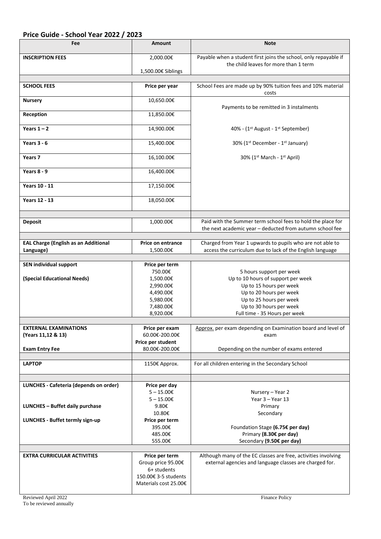## **Price Guide - School Year 2022 / 2023**

| Fee                                         | <b>Amount</b>             | <b>Note</b>                                                                                                             |  |
|---------------------------------------------|---------------------------|-------------------------------------------------------------------------------------------------------------------------|--|
| <b>INSCRIPTION FEES</b>                     | 2,000.00€                 | Payable when a student first joins the school, only repayable if                                                        |  |
|                                             | 1,500.00€ Siblings        | the child leaves for more than 1 term                                                                                   |  |
|                                             |                           |                                                                                                                         |  |
| <b>SCHOOL FEES</b>                          | Price per year            | School Fees are made up by 90% tuition fees and 10% material<br>costs                                                   |  |
| <b>Nursery</b>                              | 10,650.00€                | Payments to be remitted in 3 instalments                                                                                |  |
| Reception                                   | 11,850.00€                |                                                                                                                         |  |
| Years $1 - 2$                               | 14,900.00€                | 40% - (1 <sup>st</sup> August - 1 <sup>st</sup> September)                                                              |  |
| Years $3 - 6$                               | 15,400.00€                | 30% (1 <sup>st</sup> December - 1 <sup>st</sup> January)                                                                |  |
| Years 7                                     | 16,100.00€                | 30% (1 <sup>st</sup> March - 1 <sup>st</sup> April)                                                                     |  |
| Years $8 - 9$                               | 16,400.00€                |                                                                                                                         |  |
| <b>Years 10 - 11</b>                        | 17,150.00€                |                                                                                                                         |  |
| <b>Years 12 - 13</b>                        | 18,050.00€                |                                                                                                                         |  |
|                                             |                           |                                                                                                                         |  |
| <b>Deposit</b>                              | 1,000.00€                 | Paid with the Summer term school fees to hold the place for<br>the next academic year - deducted from autumn school fee |  |
| <b>EAL Charge (English as an Additional</b> | <b>Price on entrance</b>  | Charged from Year 1 upwards to pupils who are not able to                                                               |  |
| Language)                                   | 1,500.00€                 | access the curriculum due to lack of the English language                                                               |  |
|                                             |                           |                                                                                                                         |  |
| <b>SEN individual support</b>               | Price per term<br>750.00€ | 5 hours support per week                                                                                                |  |
| (Special Educational Needs)                 | 1,500.00€                 | Up to 10 hours of support per week                                                                                      |  |
|                                             | 2,990.00€                 | Up to 15 hours per week                                                                                                 |  |
|                                             | 4,490.00€                 | Up to 20 hours per week                                                                                                 |  |
|                                             | 5,980.00€                 | Up to 25 hours per week                                                                                                 |  |
|                                             | 7,480.00€                 | Up to 30 hours per week                                                                                                 |  |
|                                             | 8,920.00€                 | Full time - 35 Hours per week                                                                                           |  |
|                                             |                           |                                                                                                                         |  |
| <b>EXTERNAL EXAMINATIONS</b>                | Price per exam            | Approx. per exam depending on Examination board and level of                                                            |  |
| (Years 11,12 & 13)                          | 60.00€-200.00€            | exam                                                                                                                    |  |
|                                             | Price per student         |                                                                                                                         |  |
| <b>Exam Entry Fee</b>                       | 80.00€-200.00€            | Depending on the number of exams entered                                                                                |  |
| <b>LAPTOP</b>                               | 1150€ Approx.             | For all children entering in the Secondary School                                                                       |  |
|                                             |                           |                                                                                                                         |  |
| LUNCHES - Cafeteria (depends on order)      | Price per day             |                                                                                                                         |  |
|                                             | $5 - 15.00 \in$           | Nursery – Year 2                                                                                                        |  |
|                                             | $5 - 15.00 \in$           | Year 3 - Year 13                                                                                                        |  |
| <b>LUNCHES - Buffet daily purchase</b>      | 9.80€                     | Primary                                                                                                                 |  |
|                                             | 10.80€                    | Secondary                                                                                                               |  |
| LUNCHES - Buffet termly sign-up             | Price per term<br>395.00€ |                                                                                                                         |  |
|                                             | 485.00€                   | Foundation Stage (6.75€ per day)<br>Primary (8.30€ per day)                                                             |  |
|                                             | 555.00€                   | Secondary (9.50€ per day)                                                                                               |  |
|                                             |                           |                                                                                                                         |  |
| <b>EXTRA CURRICULAR ACTIVITIES</b>          | Price per term            | Although many of the EC classes are free, activities involving                                                          |  |
|                                             | Group price 95.00€        | external agencies and language classes are charged for.                                                                 |  |
|                                             | 6+ students               |                                                                                                                         |  |
|                                             | 150.00€ 3-5 students      |                                                                                                                         |  |
|                                             | Materials cost 25.00€     |                                                                                                                         |  |
|                                             |                           |                                                                                                                         |  |
| Reviewed April 2022                         |                           | Finance Policy                                                                                                          |  |